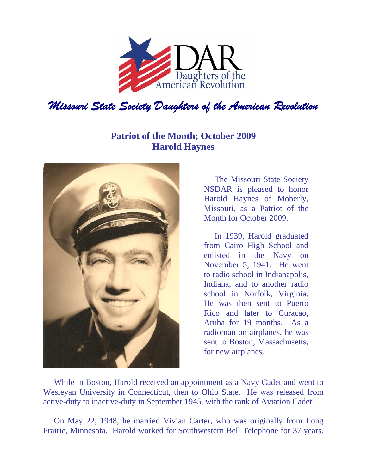

## **Patriot of the Month; October 2009 Harold Haynes**



The Missouri State Society NSDAR is pleased to honor Harold Haynes of Moberly, Missouri, as a Patriot of the Month for October 2009.

In 1939, Harold graduated from Cairo High School and enlisted in the Navy on November 5, 1941. He went to radio school in Indianapolis, Indiana, and to another radio school in Norfolk, Virginia. He was then sent to Puerto Rico and later to Curacao, Aruba for 19 months. As a radioman on airplanes, he was sent to Boston, Massachusetts, for new airplanes.

While in Boston, Harold received an appointment as a Navy Cadet and went to Wesleyan University in Connecticut, then to Ohio State. He was released from active-duty to inactive-duty in September 1945, with the rank of Aviation Cadet.

On May 22, 1948, he married Vivian Carter, who was originally from Long Prairie, Minnesota. Harold worked for Southwestern Bell Telephone for 37 years.